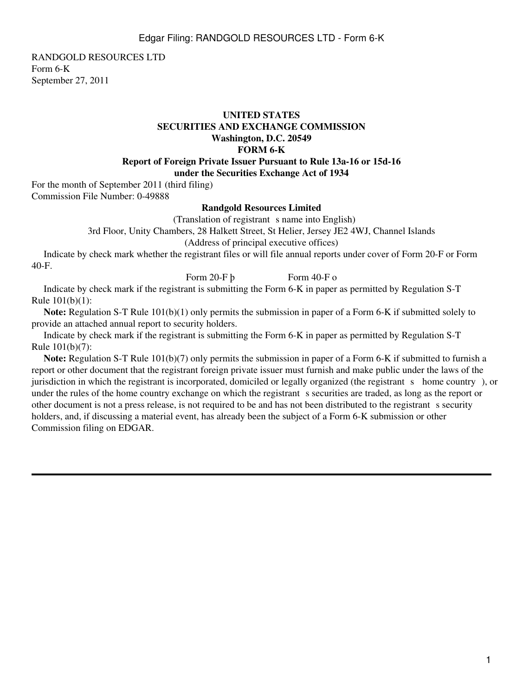RANDGOLD RESOURCES LTD Form 6-K September 27, 2011

## **UNITED STATES SECURITIES AND EXCHANGE COMMISSION Washington, D.C. 20549 FORM 6-K Report of Foreign Private Issuer Pursuant to Rule 13a-16 or 15d-16 under the Securities Exchange Act of 1934**

For the month of September 2011 (third filing) Commission File Number: 0-49888

## **Randgold Resources Limited**

(Translation of registrant s name into English)

3rd Floor, Unity Chambers, 28 Halkett Street, St Helier, Jersey JE2 4WJ, Channel Islands

(Address of principal executive offices)

 Indicate by check mark whether the registrant files or will file annual reports under cover of Form 20-F or Form 40-F.

Form  $20-F b$  Form  $40-F o$ 

 Indicate by check mark if the registrant is submitting the Form 6-K in paper as permitted by Regulation S-T Rule 101(b)(1):

**Note:** Regulation S-T Rule 101(b)(1) only permits the submission in paper of a Form 6-K if submitted solely to provide an attached annual report to security holders.

 Indicate by check mark if the registrant is submitting the Form 6-K in paper as permitted by Regulation S-T Rule 101(b)(7):

**Note:** Regulation S-T Rule 101(b)(7) only permits the submission in paper of a Form 6-K if submitted to furnish a report or other document that the registrant foreign private issuer must furnish and make public under the laws of the jurisdiction in which the registrant is incorporated, domiciled or legally organized (the registrant s home country), or under the rules of the home country exchange on which the registrant s securities are traded, as long as the report or other document is not a press release, is not required to be and has not been distributed to the registrant s security holders, and, if discussing a material event, has already been the subject of a Form 6-K submission or other Commission filing on EDGAR.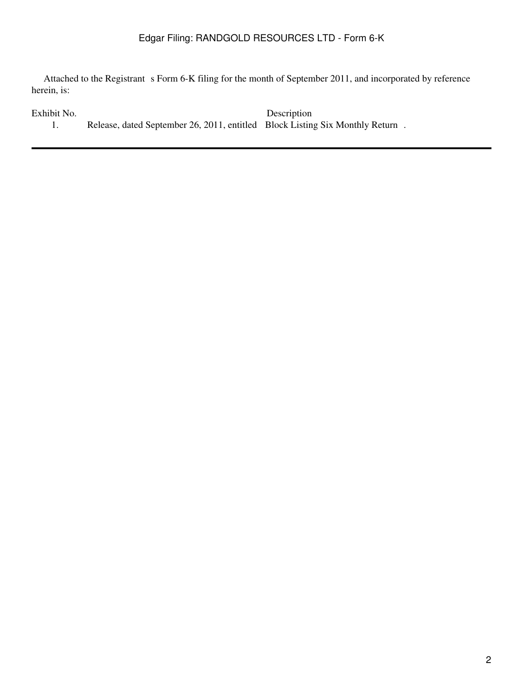## Edgar Filing: RANDGOLD RESOURCES LTD - Form 6-K

Attached to the Registrant s Form 6-K filing for the month of September 2011, and incorporated by reference herein, is:

| Exhibit No. |                                                                               | Description |  |
|-------------|-------------------------------------------------------------------------------|-------------|--|
|             | Release, dated September 26, 2011, entitled Block Listing Six Monthly Return. |             |  |